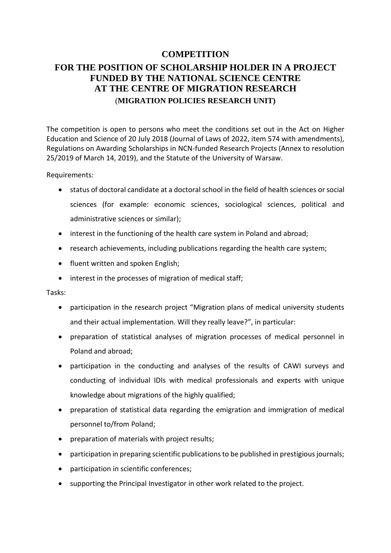## **COMPETITION FOR THE POSITION OF SCHOLARSHIP HOLDER IN A PROJECT FUNDED BY THE NATIONAL SCIENCE CENTRE AT THE CENTRE OF MIGRATION RESEARCH**  (**MIGRATION POLICIES RESEARCH UNIT)**

The competition is open to persons who meet the conditions set out in the Act on Higher Education and Science of 20 July 2018 (Journal of Laws of 2022, item 574 with amendments), Regulations on Awarding Scholarships in NCN-funded Research Projects (Annex to resolution 25/2019 of March 14, 2019), and the Statute of the University of Warsaw.

Requirements:

- status of doctoral candidate at a doctoral school in the field of health sciences or social sciences (for example: economic sciences, sociological sciences, political and administrative sciences or similar);
- interest in the functioning of the health care system in Poland and abroad;
- research achievements, including publications regarding the health care system;
- fluent written and spoken English;
- interest in the processes of migration of medical staff;

## Tasks:

- participation in the research project "[Migration plans of medical university students](https://www.migracje.uw.edu.pl/projects/medics/)  [and their actual implementation. Will they really leave?](https://www.migracje.uw.edu.pl/projects/medics/)", in particular:
- preparation of statistical analyses of migration processes of medical personnel in Poland and abroad;
- participation in the conducting and analyses of the results of CAWI surveys and conducting of individual IDIs with medical professionals and experts with unique knowledge about migrations of the highly qualified;
- preparation of statistical data regarding the emigration and immigration of medical personnel to/from Poland;
- preparation of materials with project results;
- participation in preparing scientific publications to be published in prestigious journals;
- participation in scientific conferences;
- supporting the Principal Investigator in other work related to the project.